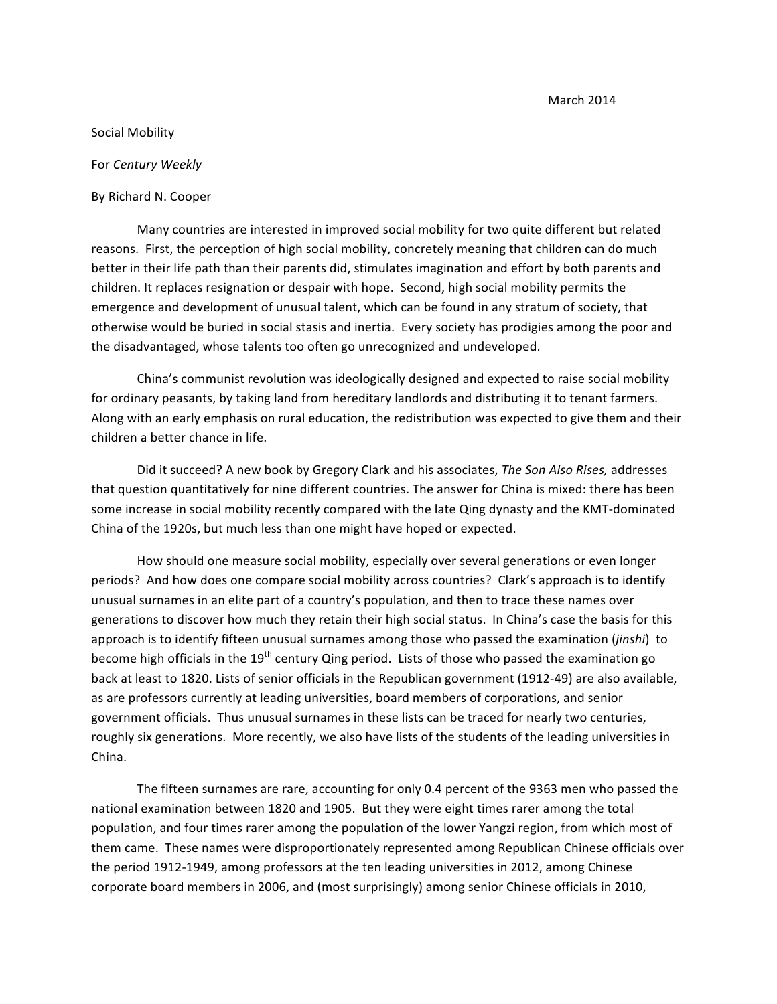March 2014

## Social Mobility

For *Century Weekly*

By Richard N. Cooper

Many countries are interested in improved social mobility for two quite different but related reasons. First, the perception of high social mobility, concretely meaning that children can do much better in their life path than their parents did, stimulates imagination and effort by both parents and children. It replaces resignation or despair with hope. Second, high social mobility permits the emergence and development of unusual talent, which can be found in any stratum of society, that otherwise would be buried in social stasis and inertia. Every society has prodigies among the poor and the disadvantaged, whose talents too often go unrecognized and undeveloped.

China's communist revolution was ideologically designed and expected to raise social mobility for ordinary peasants, by taking land from hereditary landlords and distributing it to tenant farmers. Along with an early emphasis on rural education, the redistribution was expected to give them and their children a better chance in life.

Did it succeed? A new book by Gregory Clark and his associates, *The Son Also Rises*, addresses that question quantitatively for nine different countries. The answer for China is mixed: there has been some increase in social mobility recently compared with the late Qing dynasty and the KMT-dominated China of the 1920s, but much less than one might have hoped or expected.

How should one measure social mobility, especially over several generations or even longer periods? And how does one compare social mobility across countries? Clark's approach is to identify unusual surnames in an elite part of a country's population, and then to trace these names over generations to discover how much they retain their high social status. In China's case the basis for this approach is to identify fifteen unusual surnames among those who passed the examination (*jinshi*) to become high officials in the  $19<sup>th</sup>$  century Qing period. Lists of those who passed the examination go back at least to 1820. Lists of senior officials in the Republican government (1912-49) are also available, as are professors currently at leading universities, board members of corporations, and senior government officials. Thus unusual surnames in these lists can be traced for nearly two centuries, roughly six generations. More recently, we also have lists of the students of the leading universities in China.

The fifteen surnames are rare, accounting for only 0.4 percent of the 9363 men who passed the national examination between 1820 and 1905. But they were eight times rarer among the total population, and four times rarer among the population of the lower Yangzi region, from which most of them came. These names were disproportionately represented among Republican Chinese officials over the period 1912-1949, among professors at the ten leading universities in 2012, among Chinese corporate board members in 2006, and (most surprisingly) among senior Chinese officials in 2010,